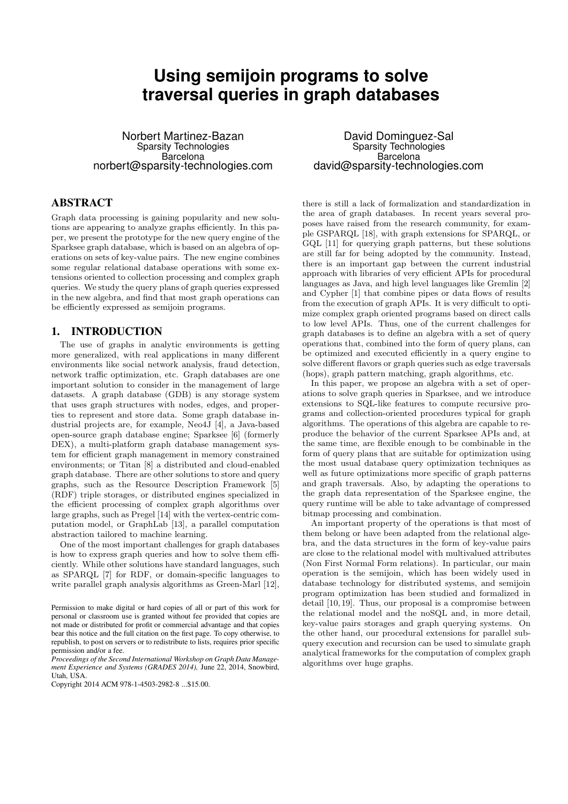# **Using semijoin programs to solve traversal queries in graph databases**

Norbert Martinez-Bazan Sparsity Technologies **Barcelona** norbert@sparsity-technologies.com

# ABSTRACT

Graph data processing is gaining popularity and new solutions are appearing to analyze graphs efficiently. In this paper, we present the prototype for the new query engine of the Sparksee graph database, which is based on an algebra of operations on sets of key-value pairs. The new engine combines some regular relational database operations with some extensions oriented to collection processing and complex graph queries. We study the query plans of graph queries expressed in the new algebra, and find that most graph operations can be efficiently expressed as semijoin programs.

# 1. INTRODUCTION

The use of graphs in analytic environments is getting more generalized, with real applications in many different environments like social network analysis, fraud detection, network traffic optimization, etc. Graph databases are one important solution to consider in the management of large datasets. A graph database (GDB) is any storage system that uses graph structures with nodes, edges, and properties to represent and store data. Some graph database industrial projects are, for example, Neo4J [4], a Java-based open-source graph database engine; Sparksee [6] (formerly DEX), a multi-platform graph database management system for efficient graph management in memory constrained environments; or Titan [8] a distributed and cloud-enabled graph database. There are other solutions to store and query graphs, such as the Resource Description Framework [5] (RDF) triple storages, or distributed engines specialized in the efficient processing of complex graph algorithms over large graphs, such as Pregel [14] with the vertex-centric computation model, or GraphLab [13], a parallel computation abstraction tailored to machine learning.

One of the most important challenges for graph databases is how to express graph queries and how to solve them efficiently. While other solutions have standard languages, such as SPARQL [7] for RDF, or domain-specific languages to write parallel graph analysis algorithms as Green-Marl [12],

David Dominguez-Sal Sparsity Technologies **Barcelona** david@sparsity-technologies.com

there is still a lack of formalization and standardization in the area of graph databases. In recent years several proposes have raised from the research community, for example GSPARQL [18], with graph extensions for SPARQL, or GQL [11] for querying graph patterns, but these solutions are still far for being adopted by the community. Instead, there is an important gap between the current industrial approach with libraries of very efficient APIs for procedural languages as Java, and high level languages like Gremlin [2] and Cypher [1] that combine pipes or data flows of results from the execution of graph APIs. It is very difficult to optimize complex graph oriented programs based on direct calls to low level APIs. Thus, one of the current challenges for graph databases is to define an algebra with a set of query operations that, combined into the form of query plans, can be optimized and executed efficiently in a query engine to solve different flavors or graph queries such as edge traversals (hops), graph pattern matching, graph algorithms, etc.

In this paper, we propose an algebra with a set of operations to solve graph queries in Sparksee, and we introduce extensions to SQL-like features to compute recursive programs and collection-oriented procedures typical for graph algorithms. The operations of this algebra are capable to reproduce the behavior of the current Sparksee APIs and, at the same time, are flexible enough to be combinable in the form of query plans that are suitable for optimization using the most usual database query optimization techniques as well as future optimizations more specific of graph patterns and graph traversals. Also, by adapting the operations to the graph data representation of the Sparksee engine, the query runtime will be able to take advantage of compressed bitmap processing and combination.

An important property of the operations is that most of them belong or have been adapted from the relational algebra, and the data structures in the form of key-value pairs are close to the relational model with multivalued attributes (Non First Normal Form relations). In particular, our main operation is the semijoin, which has been widely used in database technology for distributed systems, and semijoin program optimization has been studied and formalized in detail [10, 19]. Thus, our proposal is a compromise between the relational model and the noSQL and, in more detail, key-value pairs storages and graph querying systems. On the other hand, our procedural extensions for parallel subquery execution and recursion can be used to simulate graph analytical frameworks for the computation of complex graph algorithms over huge graphs.

Permission to make digital or hard copies of all or part of this work for personal or classroom use is granted without fee provided that copies are not made or distributed for profit or commercial advantage and that copies bear this notice and the full citation on the first page. To copy otherwise, to republish, to post on servers or to redistribute to lists, requires prior specific permission and/or a fee.

*Proceedings of the Second International Workshop on Graph Data Management Experience and Systems (GRADES 2014),* June 22, 2014, Snowbird, Utah, USA.

Copyright 2014 ACM 978-1-4503-2982-8 ...\$15.00.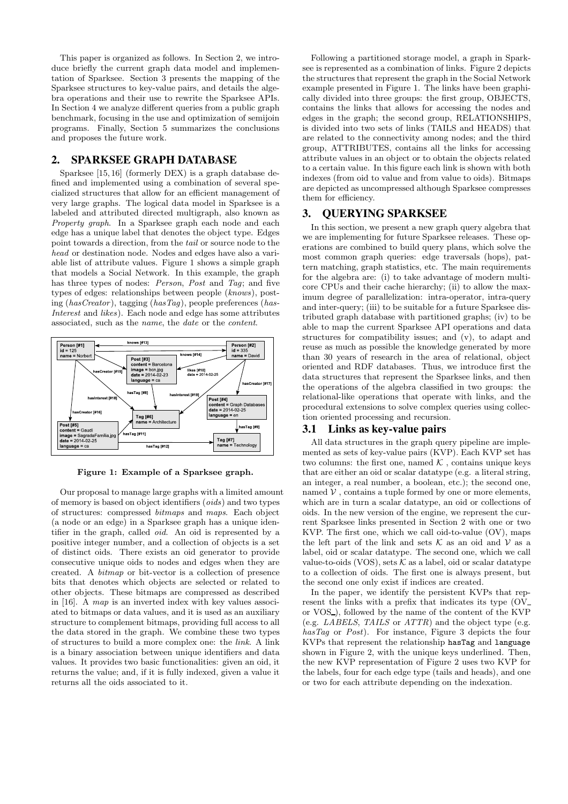This paper is organized as follows. In Section 2, we introduce briefly the current graph data model and implementation of Sparksee. Section 3 presents the mapping of the Sparksee structures to key-value pairs, and details the algebra operations and their use to rewrite the Sparksee APIs. In Section 4 we analyze different queries from a public graph benchmark, focusing in the use and optimization of semijoin programs. Finally, Section 5 summarizes the conclusions and proposes the future work.

# 2. SPARKSEE GRAPH DATABASE

Sparksee [15, 16] (formerly DEX) is a graph database defined and implemented using a combination of several specialized structures that allow for an efficient management of very large graphs. The logical data model in Sparksee is a labeled and attributed directed multigraph, also known as Property graph. In a Sparksee graph each node and each edge has a unique label that denotes the object type. Edges point towards a direction, from the tail or source node to the head or destination node. Nodes and edges have also a variable list of attribute values. Figure 1 shows a simple graph that models a Social Network. In this example, the graph has three types of nodes: *Person*, *Post* and *Tag*; and five types of edges: relationships between people (knows), posting (hasCreator), tagging (hasTaq), people preferences (has-Interest and likes). Each node and edge has some attributes associated, such as the name, the date or the content.



Figure 1: Example of a Sparksee graph.

Our proposal to manage large graphs with a limited amount of memory is based on object identifiers (oids) and two types of structures: compressed bitmaps and maps. Each object (a node or an edge) in a Sparksee graph has a unique identifier in the graph, called *oid*. An oid is represented by a positive integer number, and a collection of objects is a set of distinct oids. There exists an oid generator to provide consecutive unique oids to nodes and edges when they are created. A bitmap or bit-vector is a collection of presence bits that denotes which objects are selected or related to other objects. These bitmaps are compressed as described in [16]. A map is an inverted index with key values associated to bitmaps or data values, and it is used as an auxiliary structure to complement bitmaps, providing full access to all the data stored in the graph. We combine these two types of structures to build a more complex one: the link. A link is a binary association between unique identifiers and data values. It provides two basic functionalities: given an oid, it returns the value; and, if it is fully indexed, given a value it returns all the oids associated to it.

Following a partitioned storage model, a graph in Sparksee is represented as a combination of links. Figure 2 depicts the structures that represent the graph in the Social Network example presented in Figure 1. The links have been graphically divided into three groups: the first group, OBJECTS, contains the links that allows for accessing the nodes and edges in the graph; the second group, RELATIONSHIPS, is divided into two sets of links (TAILS and HEADS) that are related to the connectivity among nodes; and the third group, ATTRIBUTES, contains all the links for accessing attribute values in an object or to obtain the objects related to a certain value. In this figure each link is shown with both indexes (from oid to value and from value to oids). Bitmaps are depicted as uncompressed although Sparksee compresses them for efficiency.

# 3. QUERYING SPARKSEE

In this section, we present a new graph query algebra that we are implementing for future Sparksee releases. These operations are combined to build query plans, which solve the most common graph queries: edge traversals (hops), pattern matching, graph statistics, etc. The main requirements for the algebra are: (i) to take advantage of modern multicore CPUs and their cache hierarchy; (ii) to allow the maximum degree of parallelization: intra-operator, intra-query and inter-query; (iii) to be suitable for a future Sparksee distributed graph database with partitioned graphs; (iv) to be able to map the current Sparksee API operations and data structures for compatibility issues; and (v), to adapt and reuse as much as possible the knowledge generated by more than 30 years of research in the area of relational, object oriented and RDF databases. Thus, we introduce first the data structures that represent the Sparksee links, and then the operations of the algebra classified in two groups: the relational-like operations that operate with links, and the procedural extensions to solve complex queries using collection oriented processing and recursion.

#### 3.1 Links as key-value pairs

All data structures in the graph query pipeline are implemented as sets of key-value pairs (KVP). Each KVP set has two columns: the first one, named  $K$ , contains unique keys that are either an oid or scalar datatype (e.g. a literal string, an integer, a real number, a boolean, etc.); the second one, named  $V$ , contains a tuple formed by one or more elements, which are in turn a scalar datatype, an oid or collections of oids. In the new version of the engine, we represent the current Sparksee links presented in Section 2 with one or two KVP. The first one, which we call oid-to-value (OV), maps the left part of the link and sets  $K$  as an oid and  $V$  as a label, oid or scalar datatype. The second one, which we call value-to-oids (VOS), sets  $K$  as a label, oid or scalar datatype to a collection of oids. The first one is always present, but the second one only exist if indices are created.

In the paper, we identify the persistent KVPs that represent the links with a prefix that indicates its type (OV or VOS ), followed by the name of the content of the KVP (e.g. LABELS, TAILS or ATTR) and the object type (e.g. has Tag or Post). For instance, Figure 3 depicts the four KVPs that represent the relationship hasTag and language shown in Figure 2, with the unique keys underlined. Then, the new KVP representation of Figure 2 uses two KVP for the labels, four for each edge type (tails and heads), and one or two for each attribute depending on the indexation.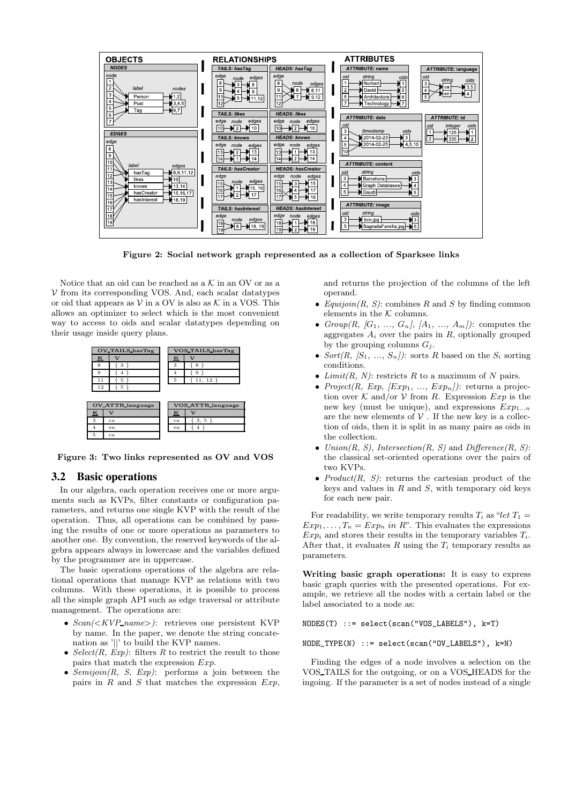

Figure 2: Social network graph represented as a collection of Sparksee links

Notice that an oid can be reached as a  $K$  in an OV or as a  $V$  from its corresponding VOS. And, each scalar datatypes or oid that appears as  $V$  in a OV is also as  $K$  in a VOS. This allows an optimizer to select which is the most convenient way to access to oids and scalar datatypes depending on their usage inside query plans.



Figure 3: Two links represented as OV and VOS

# 3.2 Basic operations

In our algebra, each operation receives one or more arguments such as KVPs, filter constants or configuration parameters, and returns one single KVP with the result of the operation. Thus, all operations can be combined by passing the results of one or more operations as parameters to another one. By convention, the reserved keywords of the algebra appears always in lowercase and the variables defined by the programmer are in uppercase.

The basic operations operations of the algebra are relational operations that manage KVP as relations with two columns. With these operations, it is possible to process all the simple graph API such as edge traversal or attribute management. The operations are:

- Scan(<KVP name>): retrieves one persistent KVP by name. In the paper, we denote the string concatenation as '||' to build the KVP names.
- Select(R, Exp): filters R to restrict the result to those pairs that match the expression Exp.
- $Semijoin(R, S, Exp)$ : performs a join between the pairs in  $R$  and  $S$  that matches the expression  $Exp$ ,

and returns the projection of the columns of the left operand.

- Equijoin(R, S): combines R and S by finding common elements in the  $K$  columns.
- $Group(R, [G_1, ..., G_n], [A_1, ..., A_m])$ : computes the aggregates  $A_i$  over the pairs in  $R$ , optionally grouped by the grouping columns  $G_j$ .
- Sort $(R, S_1, ..., S_n)$ : sorts R based on the  $S_i$  sorting conditions.
- $Limit(R, N)$ : restricts R to a maximum of N pairs.
- *Project*( $R$ ,  $Exp$ ,  $|Exp_1$ , ...,  $Exp_n$ ): returns a projection over K and/or V from R. Expression  $Exp$  is the new key (must be unique), and expressions  $Exp_{1...n}$ are the new elements of  $V$  . If the new key is a collection of oids, then it is split in as many pairs as oids in the collection.
- $Union(R, S)$ , Intersection(R, S) and Difference(R, S): the classical set-oriented operations over the pairs of two KVPs.
- Product $(R, S)$ : returns the cartesian product of the keys and values in  $R$  and  $S$ , with temporary oid keys for each new pair.

For readability, we write temporary results  $T_i$  as "let  $T_1$  =  $Exp_1, \ldots, T_n = Exp_n$  in R". This evaluates the expressions  $Exp_i$  and stores their results in the temporary variables  $T_i$ . After that, it evaluates  $R$  using the  $T_i$  temporary results as parameters.

Writing basic graph operations: It is easy to express basic graph queries with the presented operations. For example, we retrieve all the nodes with a certain label or the label associated to a node as:

NODES(T) ::= select(scan("VOS\_LABELS"), k=T)

 $NODE_TYPE(N) ::= select(scan("OV_LABELS"), k=N)$ 

Finding the edges of a node involves a selection on the VOS TAILS for the outgoing, or on a VOS HEADS for the ingoing. If the parameter is a set of nodes instead of a single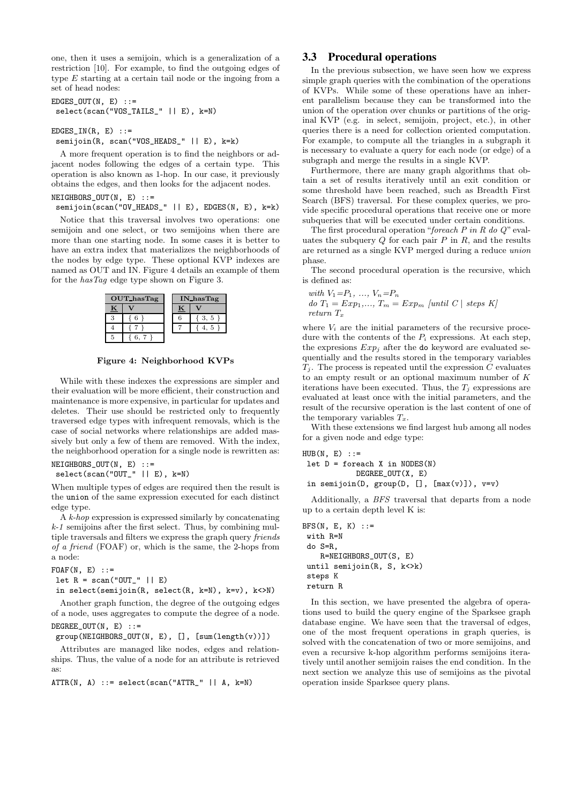one, then it uses a semijoin, which is a generalization of a restriction [10]. For example, to find the outgoing edges of type  $E$  starting at a certain tail node or the ingoing from a set of head nodes:

EDGES OUT $(N, E)$  ::= select(scan("VOS\_TAILS\_" || E), k=N)

#### $EDGES$ <sub>IN</sub> $(R, E)$  ::= semijoin(R, scan("VOS\_HEADS\_" || E), k=k)

A more frequent operation is to find the neighbors or adjacent nodes following the edges of a certain type. This operation is also known as 1-hop. In our case, it previously obtains the edges, and then looks for the adjacent nodes.

# $NEIGHBORS$   $OUT(N, E)$  ::=

semijoin(scan("OV\_HEADS\_" || E), EDGES(N, E), k=k)

Notice that this traversal involves two operations: one semijoin and one select, or two semijoins when there are more than one starting node. In some cases it is better to have an extra index that materializes the neighborhoods of the nodes by edge type. These optional KVP indexes are named as OUT and IN. Figure 4 details an example of them for the hasTag edge type shown on Figure 3.



Figure 4: Neighborhood KVPs

While with these indexes the expressions are simpler and their evaluation will be more efficient, their construction and maintenance is more expensive, in particular for updates and deletes. Their use should be restricted only to frequently traversed edge types with infrequent removals, which is the case of social networks where relationships are added massively but only a few of them are removed. With the index, the neighborhood operation for a single node is rewritten as:

 $NEIGHBORS_OUT(N, E)$  ::=

select(scan("OUT\_" || E), k=N)

When multiple types of edges are required then the result is the union of the same expression executed for each distinct edge type.

 $\overline{A}$  k-hop expression is expressed similarly by concatenating  $k-1$  semijoins after the first select. Thus, by combining multiple traversals and filters we express the graph query friends of a friend (FOAF) or, which is the same, the 2-hops from a node:

```
FOAF(N, E) ::=
```
 $let R = scan("OUT-" || E)$ 

in select(semijoin(R, select(R, k=N), k=v), k<>N)

Another graph function, the degree of the outgoing edges of a node, uses aggregates to compute the degree of a node.  $DEGREE_OUT(N, E) ::=$ 

group(NEIGHBORS\_OUT(N, E), [], [sum(length(v))])

Attributes are managed like nodes, edges and relationships. Thus, the value of a node for an attribute is retrieved as:

```
\text{ATTR(N, A)} ::= \text{select}(\text{scan("ATTR" || A, k=N}))
```
# 3.3 Procedural operations

In the previous subsection, we have seen how we express simple graph queries with the combination of the operations of KVPs. While some of these operations have an inherent parallelism because they can be transformed into the union of the operation over chunks or partitions of the original KVP (e.g. in select, semijoin, project, etc.), in other queries there is a need for collection oriented computation. For example, to compute all the triangles in a subgraph it is necessary to evaluate a query for each node (or edge) of a subgraph and merge the results in a single KVP.

Furthermore, there are many graph algorithms that obtain a set of results iteratively until an exit condition or some threshold have been reached, such as Breadth First Search (BFS) traversal. For these complex queries, we provide specific procedural operations that receive one or more subqueries that will be executed under certain conditions.

The first procedural operation "foreach P in R do Q" evaluates the subquery  $Q$  for each pair  $P$  in  $R$ , and the results are returned as a single KVP merged during a reduce union phase.

The second procedural operation is the recursive, which is defined as:

with 
$$
V_1 = P_1, ..., V_n = P_n
$$
  
do  $T_1 = Exp_1, ..., T_m = Exp_m$  [until C | steps K]  
return  $T_x$ 

where  $V_i$  are the initial parameters of the recursive procedure with the contents of the  $P_i$  expressions. At each step, the expresions  $Exp_j$  after the do keyword are evaluated sequentially and the results stored in the temporary variables  $T_i$ . The process is repeated until the expression C evaluates to an empty result or an optional maximum number of  $K$ iterations have been executed. Thus, the  $T_i$  expressions are evaluated at least once with the initial parameters, and the result of the recursive operation is the last content of one of the temporary variables  $T_x$ .

With these extensions we find largest hub among all nodes for a given node and edge type:

```
HUB(N, E) ::=
let D = foreach X in NODES(N)
           DEGREE_OUT(X, E)
in semijoin(D, group(D, [], [max(v)]), v=v)
```
Additionally, a BFS traversal that departs from a node up to a certain depth level K is:

 $BFS(N, E, K)$  ::= with R=N do S=R, R=NEIGHBORS\_OUT(S, E) until semijoin(R, S, k<>k) steps K return R

In this section, we have presented the algebra of operations used to build the query engine of the Sparksee graph database engine. We have seen that the traversal of edges, one of the most frequent operations in graph queries, is solved with the concatenation of two or more semijoins, and even a recursive k-hop algorithm performs semijoins iteratively until another semijoin raises the end condition. In the next section we analyze this use of semijoins as the pivotal operation inside Sparksee query plans.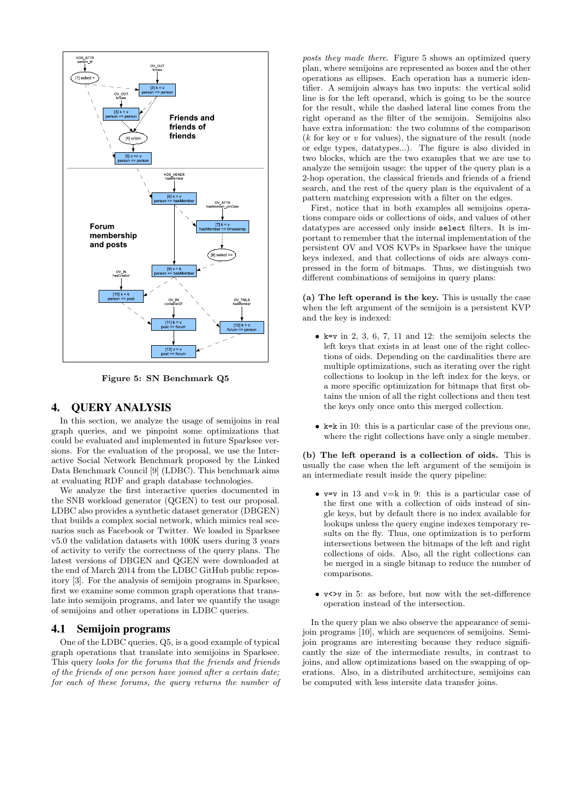

Figure 5: SN Benchmark Q5

# 4. QUERY ANALYSIS

In this section, we analyze the usage of semijoins in real graph queries, and we pinpoint some optimizations that could be evaluated and implemented in future Sparksee versions. For the evaluation of the proposal, we use the Interactive Social Network Benchmark proposed by the Linked Data Benchmark Council [9] (LDBC). This benchmark aims at evaluating RDF and graph database technologies.

We analyze the first interactive queries documented in the SNB workload generator (QGEN) to test our proposal. LDBC also provides a synthetic dataset generator (DBGEN) that builds a complex social network, which mimics real scenarios such as Facebook or Twitter. We loaded in Sparksee v5.0 the validation datasets with 100K users during 3 years of activity to verify the correctness of the query plans. The latest versions of DBGEN and QGEN were downloaded at the end of March 2014 from the LDBC GitHub public repository [3]. For the analysis of semijoin programs in Sparksee, first we examine some common graph operations that translate into semijoin programs, and later we quantify the usage of semijoins and other operations in LDBC queries.

# 4.1 Semijoin programs

One of the LDBC queries, Q5, is a good example of typical graph operations that translate into semijoins in Sparksee. This query looks for the forums that the friends and friends of the friends of one person have joined after a certain date; for each of these forums, the query returns the number of

posts they made there. Figure 5 shows an optimized query plan, where semijoins are represented as boxes and the other operations as ellipses. Each operation has a numeric identifier. A semijoin always has two inputs: the vertical solid line is for the left operand, which is going to be the source for the result, while the dashed lateral line comes from the right operand as the filter of the semijoin. Semijoins also have extra information: the two columns of the comparison  $(k$  for key or v for values), the signature of the result (node or edge types, datatypes...). The figure is also divided in two blocks, which are the two examples that we are use to analyze the semijoin usage: the upper of the query plan is a 2-hop operation, the classical friends and friends of a friend search, and the rest of the query plan is the equivalent of a pattern matching expression with a filter on the edges.

First, notice that in both examples all semijoins operations compare oids or collections of oids, and values of other datatypes are accessed only inside select filters. It is important to remember that the internal implementation of the persistent OV and VOS KVPs in Sparksee have the unique keys indexed, and that collections of oids are always compressed in the form of bitmaps. Thus, we distinguish two different combinations of semijoins in query plans:

(a) The left operand is the key. This is usually the case when the left argument of the semijoin is a persistent KVP and the key is indexed:

- $k=v$  in 2, 3, 6, 7, 11 and 12: the semijoin selects the left keys that exists in at least one of the right collections of oids. Depending on the cardinalities there are multiple optimizations, such as iterating over the right collections to lookup in the left index for the keys, or a more specific optimization for bitmaps that first obtains the union of all the right collections and then test the keys only once onto this merged collection.
- k=k in 10: this is a particular case of the previous one, where the right collections have only a single member.

(b) The left operand is a collection of oids. This is usually the case when the left argument of the semijoin is an intermediate result inside the query pipeline:

- $v=v$  in 13 and  $v=k$  in 9: this is a particular case of the first one with a collection of oids instead of single keys, but by default there is no index available for lookups unless the query engine indexes temporary results on the fly. Thus, one optimization is to perform intersections between the bitmaps of the left and right collections of oids. Also, all the right collections can be merged in a single bitmap to reduce the number of comparisons.
- v<>v in 5: as before, but now with the set-difference operation instead of the intersection.

In the query plan we also observe the appearance of semijoin programs [10], which are sequences of semijoins. Semijoin programs are interesting because they reduce significantly the size of the intermediate results, in contrast to joins, and allow optimizations based on the swapping of operations. Also, in a distributed architecture, semijoins can be computed with less intersite data transfer joins.